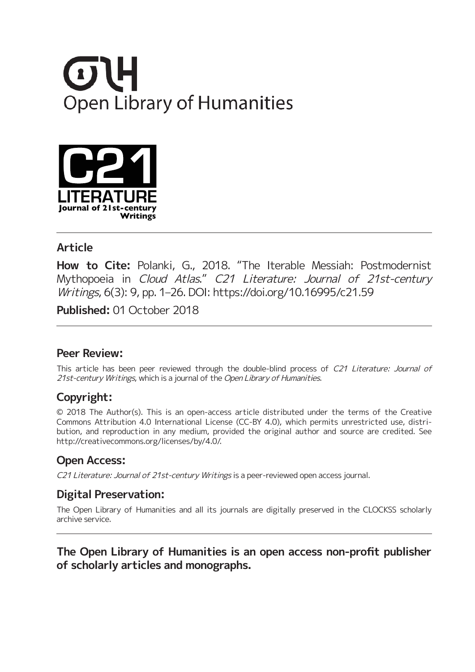



## **Article**

**How to Cite:** Polanki, G., 2018. "The Iterable Messiah: Postmodernist Mythopoeia in Cloud Atlas." C21 Literature: Journal of 21st-century Writings, 6(3): 9, pp. 1–26. DOI: https://doi.org/10.16995/c21.59

**Published:** 01 October 2018

#### **Peer Review:**

This article has been peer reviewed through the double-blind process of C21 Literature: Journal of 21st-century Writings, which is a journal of the Open Library of Humanities.

## **Copyright:**

© 2018 The Author(s). This is an open-access article distributed under the terms of the Creative Commons Attribution 4.0 International License (CC-BY 4.0), which permits unrestricted use, distribution, and reproduction in any medium, provided the original author and source are credited. See http://creativecommons.org/licenses/by/4.0/.

## **Open Access:**

C21 Literature: Journal of 21st-century Writings is a peer-reviewed open access journal.

## **Digital Preservation:**

The Open Library of Humanities and all its journals are digitally preserved in the CLOCKSS scholarly archive service.

## **The Open Library of Humanities is an open access non-profit publisher of scholarly articles and monographs.**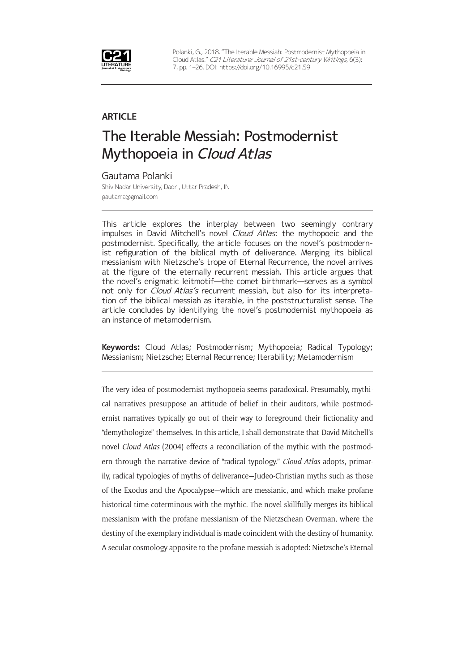

Polanki, G., 2018. "The Iterable Messiah: Postmodernist Mythopoeia in Cloud Atlas." C21 Literature: Journal of 21st-century Writings, 6(3): 7, pp. 1–26. DOI: https://doi.org/10.16995/c21.59

#### **ARTICLE**

# The Iterable Messiah: Postmodernist Mythopoeia in Cloud Atlas

Gautama Polanki Shiv Nadar University, Dadri, Uttar Pradesh, IN gautama@gmail.com

This article explores the interplay between two seemingly contrary impulses in David Mitchell's novel Cloud Atlas: the mythopoeic and the postmodernist. Specifically, the article focuses on the novel's postmodernist refiguration of the biblical myth of deliverance. Merging its biblical messianism with Nietzsche's trope of Eternal Recurrence, the novel arrives at the figure of the eternally recurrent messiah. This article argues that the novel's enigmatic leitmotif—the comet birthmark—serves as a symbol not only for Cloud Atlas's recurrent messiah, but also for its interpretation of the biblical messiah as iterable, in the poststructuralist sense. The article concludes by identifying the novel's postmodernist mythopoeia as an instance of metamodernism.

**Keywords:** Cloud Atlas; Postmodernism; Mythopoeia; Radical Typology; Messianism; Nietzsche; Eternal Recurrence; Iterability; Metamodernism

The very idea of postmodernist mythopoeia seems paradoxical. Presumably, mythical narratives presuppose an attitude of belief in their auditors, while postmodernist narratives typically go out of their way to foreground their fictionality and "demythologize" themselves. In this article, I shall demonstrate that David Mitchell's novel *Cloud Atlas* (2004) effects a reconciliation of the mythic with the postmodern through the narrative device of "radical typology." *Cloud Atlas* adopts, primarily, radical typologies of myths of deliverance—Judeo-Christian myths such as those of the Exodus and the Apocalypse—which are messianic, and which make profane historical time coterminous with the mythic. The novel skillfully merges its biblical messianism with the profane messianism of the Nietzschean Overman, where the destiny of the exemplary individual is made coincident with the destiny of humanity. A secular cosmology apposite to the profane messiah is adopted: Nietzsche's Eternal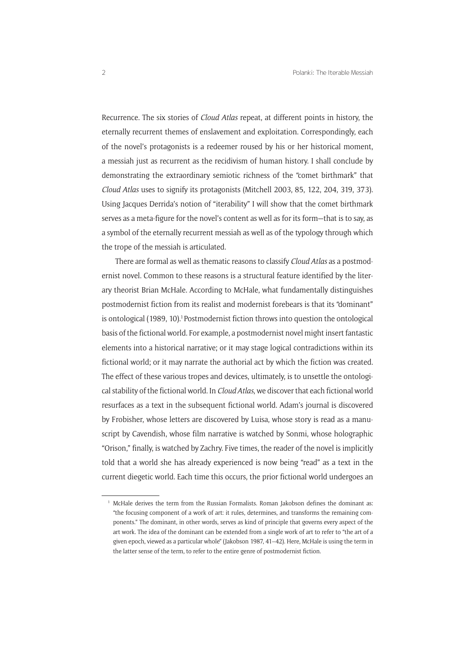Recurrence. The six stories of *Cloud Atlas* repeat, at different points in history, the eternally recurrent themes of enslavement and exploitation. Correspondingly, each of the novel's protagonists is a redeemer roused by his or her historical moment, a messiah just as recurrent as the recidivism of human history. I shall conclude by demonstrating the extraordinary semiotic richness of the "comet birthmark" that *Cloud Atlas* uses to signify its protagonists (Mitchell 2003, 85, 122, 204, 319, 373). Using Jacques Derrida's notion of "iterability" I will show that the comet birthmark serves as a meta-figure for the novel's content as well as for its form—that is to say, as a symbol of the eternally recurrent messiah as well as of the typology through which the trope of the messiah is articulated.

There are formal as well as thematic reasons to classify *Cloud Atlas* as a postmodernist novel. Common to these reasons is a structural feature identified by the literary theorist Brian McHale. According to McHale, what fundamentally distinguishes postmodernist fiction from its realist and modernist forebears is that its "dominant" is ontological (1989, 10).<sup>1</sup> Postmodernist fiction throws into question the ontological basis of the fictional world. For example, a postmodernist novel might insert fantastic elements into a historical narrative; or it may stage logical contradictions within its fictional world; or it may narrate the authorial act by which the fiction was created. The effect of these various tropes and devices, ultimately, is to unsettle the ontological stability of the fictional world. In *Cloud Atlas*, we discover that each fictional world resurfaces as a text in the subsequent fictional world. Adam's journal is discovered by Frobisher, whose letters are discovered by Luisa, whose story is read as a manuscript by Cavendish, whose film narrative is watched by Sonmi, whose holographic "Orison," finally, is watched by Zachry. Five times, the reader of the novel is implicitly told that a world she has already experienced is now being "read" as a text in the current diegetic world. Each time this occurs, the prior fictional world undergoes an

<sup>&</sup>lt;sup>1</sup> McHale derives the term from the Russian Formalists. Roman Jakobson defines the dominant as: "the focusing component of a work of art: it rules, determines, and transforms the remaining components." The dominant, in other words, serves as kind of principle that governs every aspect of the art work. The idea of the dominant can be extended from a single work of art to refer to "the art of a given epoch, viewed as a particular whole" (Jakobson 1987, 41–42). Here, McHale is using the term in the latter sense of the term, to refer to the entire genre of postmodernist fiction.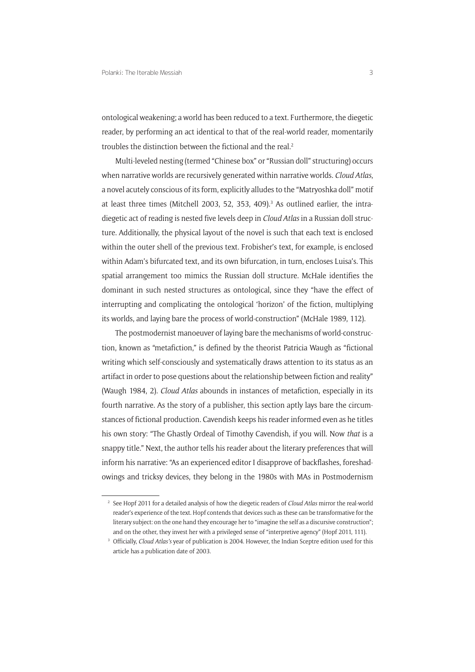ontological weakening; a world has been reduced to a text. Furthermore, the diegetic reader, by performing an act identical to that of the real-world reader, momentarily troubles the distinction between the fictional and the real.<sup>2</sup>

Multi-leveled nesting (termed "Chinese box" or "Russian doll" structuring) occurs when narrative worlds are recursively generated within narrative worlds. *Cloud Atlas*, a novel acutely conscious of its form, explicitly alludes to the "Matryoshka doll" motif at least three times (Mitchell 2003, 52, 353, 409).<sup>3</sup> As outlined earlier, the intradiegetic act of reading is nested five levels deep in *Cloud Atlas* in a Russian doll structure. Additionally, the physical layout of the novel is such that each text is enclosed within the outer shell of the previous text. Frobisher's text, for example, is enclosed within Adam's bifurcated text, and its own bifurcation, in turn, encloses Luisa's. This spatial arrangement too mimics the Russian doll structure. McHale identifies the dominant in such nested structures as ontological, since they "have the effect of interrupting and complicating the ontological 'horizon' of the fiction, multiplying its worlds, and laying bare the process of world-construction" (McHale 1989, 112).

The postmodernist manoeuver of laying bare the mechanisms of world-construction, known as "metafiction," is defined by the theorist Patricia Waugh as "fictional writing which self-consciously and systematically draws attention to its status as an artifact in order to pose questions about the relationship between fiction and reality" (Waugh 1984, 2). *Cloud Atlas* abounds in instances of metafiction, especially in its fourth narrative. As the story of a publisher, this section aptly lays bare the circumstances of fictional production. Cavendish keeps his reader informed even as he titles his own story: "The Ghastly Ordeal of Timothy Cavendish, if you will. Now *that* is a snappy title." Next, the author tells his reader about the literary preferences that will inform his narrative: "As an experienced editor I disapprove of backflashes, foreshadowings and tricksy devices, they belong in the 1980s with MAs in Postmodernism

<sup>2</sup> See Hopf 2011 for a detailed analysis of how the diegetic readers of *Cloud Atlas* mirror the real-world reader's experience of the text. Hopf contends that devices such as these can be transformative for the literary subject: on the one hand they encourage her to "imagine the self as a discursive construction"; and on the other, they invest her with a privileged sense of "interpretive agency" (Hopf 2011, 111).

<sup>3</sup> Officially, *Cloud Atlas's* year of publication is 2004. However, the Indian Sceptre edition used for this article has a publication date of 2003.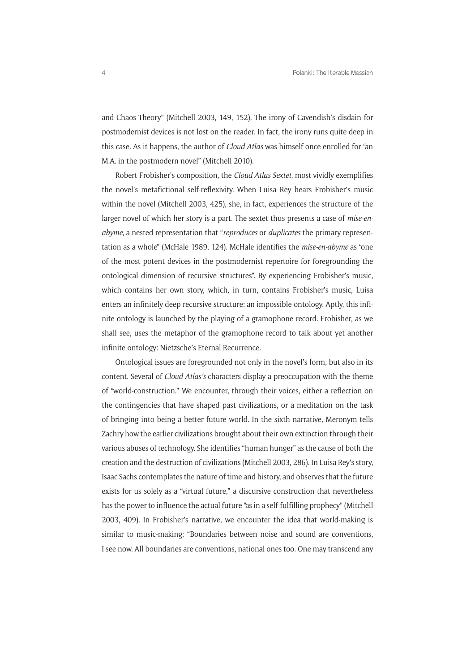and Chaos Theory" (Mitchell 2003, 149, 152). The irony of Cavendish's disdain for postmodernist devices is not lost on the reader. In fact, the irony runs quite deep in this case. As it happens, the author of *Cloud Atlas* was himself once enrolled for "an M.A. in the postmodern novel" (Mitchell 2010).

Robert Frobisher's composition, the *Cloud Atlas Sextet*, most vividly exemplifies the novel's metafictional self-reflexivity. When Luisa Rey hears Frobisher's music within the novel (Mitchell 2003, 425), she, in fact, experiences the structure of the larger novel of which her story is a part. The sextet thus presents a case of *mise-enabyme*, a nested representation that "*reproduces* or *duplicates* the primary representation as a whole" (McHale 1989, 124). McHale identifies the *mise-en-abyme* as "one of the most potent devices in the postmodernist repertoire for foregrounding the ontological dimension of recursive structures". By experiencing Frobisher's music, which contains her own story, which, in turn, contains Frobisher's music, Luisa enters an infinitely deep recursive structure: an impossible ontology. Aptly, this infinite ontology is launched by the playing of a gramophone record. Frobisher, as we shall see, uses the metaphor of the gramophone record to talk about yet another infinite ontology: Nietzsche's Eternal Recurrence.

Ontological issues are foregrounded not only in the novel's form, but also in its content. Several of *Cloud Atlas's* characters display a preoccupation with the theme of "world-construction." We encounter, through their voices, either a reflection on the contingencies that have shaped past civilizations, or a meditation on the task of bringing into being a better future world. In the sixth narrative, Meronym tells Zachry how the earlier civilizations brought about their own extinction through their various abuses of technology. She identifies "human hunger" as the cause of both the creation and the destruction of civilizations (Mitchell 2003, 286). In Luisa Rey's story, Isaac Sachs contemplates the nature of time and history, and observes that the future exists for us solely as a "virtual future," a discursive construction that nevertheless has the power to influence the actual future "as in a self-fulfilling prophecy" (Mitchell 2003, 409). In Frobisher's narrative, we encounter the idea that world-making is similar to music-making: "Boundaries between noise and sound are conventions, I see now. All boundaries are conventions, national ones too. One may transcend any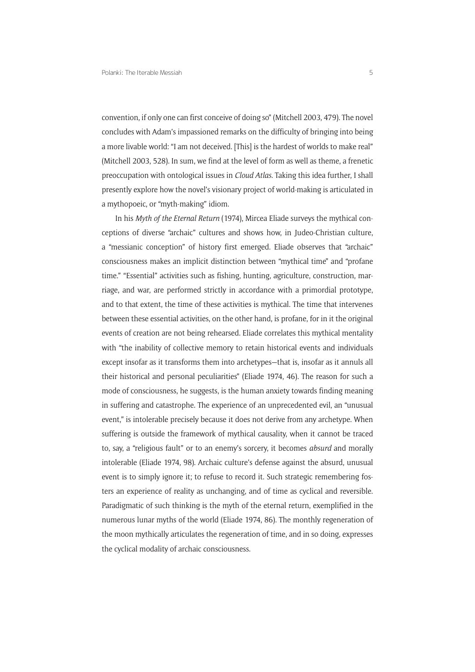convention, if only one can first conceive of doing so" (Mitchell 2003, 479). The novel concludes with Adam's impassioned remarks on the difficulty of bringing into being a more livable world: "I am not deceived. [This] is the hardest of worlds to make real" (Mitchell 2003, 528). In sum, we find at the level of form as well as theme, a frenetic preoccupation with ontological issues in *Cloud Atlas*. Taking this idea further, I shall presently explore how the novel's visionary project of world-making is articulated in a mythopoeic, or "myth-making" idiom.

In his *Myth of the Eternal Return* (1974), Mircea Eliade surveys the mythical conceptions of diverse "archaic" cultures and shows how, in Judeo-Christian culture, a "messianic conception" of history first emerged. Eliade observes that "archaic" consciousness makes an implicit distinction between "mythical time" and "profane time." "Essential" activities such as fishing, hunting, agriculture, construction, marriage, and war, are performed strictly in accordance with a primordial prototype, and to that extent, the time of these activities is mythical. The time that intervenes between these essential activities, on the other hand, is profane, for in it the original events of creation are not being rehearsed. Eliade correlates this mythical mentality with "the inability of collective memory to retain historical events and individuals except insofar as it transforms them into archetypes—that is, insofar as it annuls all their historical and personal peculiarities" (Eliade 1974, 46). The reason for such a mode of consciousness, he suggests, is the human anxiety towards finding meaning in suffering and catastrophe. The experience of an unprecedented evil, an "unusual event," is intolerable precisely because it does not derive from any archetype. When suffering is outside the framework of mythical causality, when it cannot be traced to, say, a "religious fault" or to an enemy's sorcery, it becomes *absurd* and morally intolerable (Eliade 1974, 98). Archaic culture's defense against the absurd, unusual event is to simply ignore it; to refuse to record it. Such strategic remembering fosters an experience of reality as unchanging, and of time as cyclical and reversible. Paradigmatic of such thinking is the myth of the eternal return, exemplified in the numerous lunar myths of the world (Eliade 1974, 86). The monthly regeneration of the moon mythically articulates the regeneration of time, and in so doing, expresses the cyclical modality of archaic consciousness.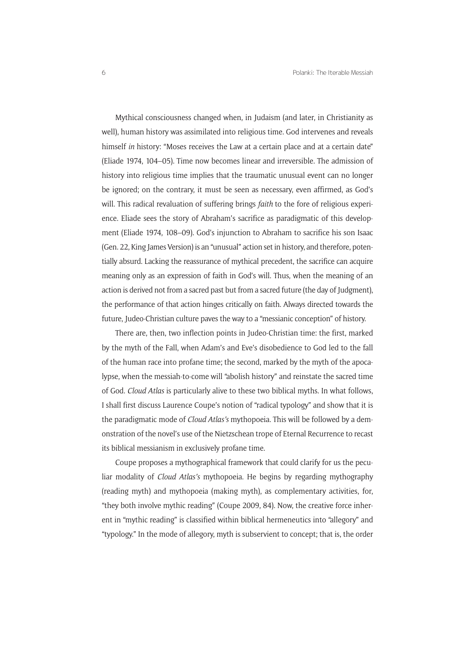Mythical consciousness changed when, in Judaism (and later, in Christianity as well), human history was assimilated into religious time. God intervenes and reveals himself *in* history: "Moses receives the Law at a certain place and at a certain date" (Eliade 1974, 104–05). Time now becomes linear and irreversible. The admission of history into religious time implies that the traumatic unusual event can no longer be ignored; on the contrary, it must be seen as necessary, even affirmed, as God's will. This radical revaluation of suffering brings *faith* to the fore of religious experience. Eliade sees the story of Abraham's sacrifice as paradigmatic of this development (Eliade 1974, 108–09). God's injunction to Abraham to sacrifice his son Isaac (Gen. 22. King James Version) is an "unusual" action set in history, and therefore, potentially absurd. Lacking the reassurance of mythical precedent, the sacrifice can acquire meaning only as an expression of faith in God's will. Thus, when the meaning of an action is derived not from a sacred past but from a sacred future (the day of Judgment), the performance of that action hinges critically on faith. Always directed towards the future, Judeo-Christian culture paves the way to a "messianic conception" of history.

There are, then, two inflection points in Judeo-Christian time: the first, marked by the myth of the Fall, when Adam's and Eve's disobedience to God led to the fall of the human race into profane time; the second, marked by the myth of the apocalypse, when the messiah-to-come will "abolish history" and reinstate the sacred time of God. *Cloud Atlas* is particularly alive to these two biblical myths. In what follows, I shall first discuss Laurence Coupe's notion of "radical typology" and show that it is the paradigmatic mode of *Cloud Atlas's* mythopoeia. This will be followed by a demonstration of the novel's use of the Nietzschean trope of Eternal Recurrence to recast its biblical messianism in exclusively profane time.

Coupe proposes a mythographical framework that could clarify for us the peculiar modality of *Cloud Atlas's* mythopoeia. He begins by regarding mythography (reading myth) and mythopoeia (making myth), as complementary activities, for, "they both involve mythic reading" (Coupe 2009, 84). Now, the creative force inherent in "mythic reading" is classified within biblical hermeneutics into "allegory" and "typology." In the mode of allegory, myth is subservient to concept; that is, the order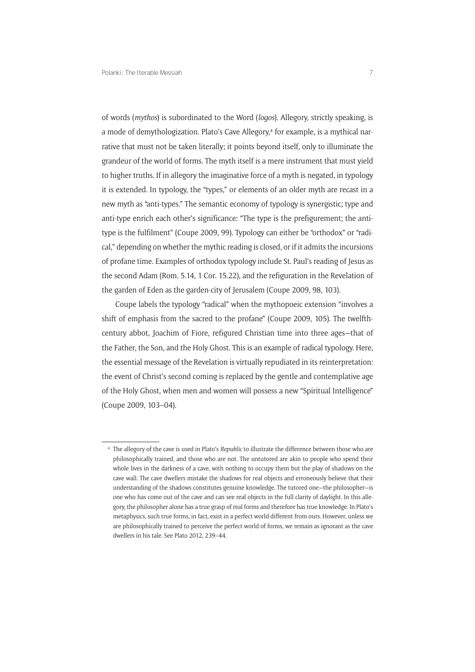of words (*mythos*) is subordinated to the Word (*logos*). Allegory, strictly speaking, is a mode of demythologization. Plato's Cave Allegory,<sup>4</sup> for example, is a mythical narrative that must not be taken literally; it points beyond itself, only to illuminate the grandeur of the world of forms. The myth itself is a mere instrument that must yield to higher truths. If in allegory the imaginative force of a myth is negated, in typology it is extended. In typology, the "types," or elements of an older myth are recast in a new myth as "anti-types." The semantic economy of typology is synergistic; type and anti-type enrich each other's significance: "The type is the prefigurement; the antitype is the fulfilment" (Coupe 2009, 99). Typology can either be "orthodox" or "radical," depending on whether the mythic reading is closed, or if it admits the incursions of profane time. Examples of orthodox typology include St. Paul's reading of Jesus as the second Adam (Rom. 5.14, 1 Cor. 15.22), and the refiguration in the Revelation of the garden of Eden as the garden-city of Jerusalem (Coupe 2009, 98, 103).

Coupe labels the typology "radical" when the mythopoeic extension "involves a shift of emphasis from the sacred to the profane" (Coupe 2009, 105). The twelfthcentury abbot, Joachim of Fiore, refigured Christian time into three ages—that of the Father, the Son, and the Holy Ghost. This is an example of radical typology. Here, the essential message of the Revelation is virtually repudiated in its reinterpretation: the event of Christ's second coming is replaced by the gentle and contemplative age of the Holy Ghost, when men and women will possess a new "Spiritual Intelligence" (Coupe 2009, 103–04).

<sup>4</sup> The allegory of the cave is used in Plato's *Republic* to illustrate the difference between those who are philosophically trained, and those who are not. The untutored are akin to people who spend their whole lives in the darkness of a cave, with nothing to occupy them but the play of shadows on the cave wall. The cave dwellers mistake the shadows for real objects and erroneously believe that their understanding of the shadows constitutes genuine knowledge. The tutored one—the philosopher—is one who has come out of the cave and can see real objects in the full clarity of daylight. In this allegory, the philosopher alone has a true grasp of real forms and therefore has true knowledge. In Plato's metaphysics, such true forms, in fact, exist in a perfect world different from ours. However, unless we are philosophically trained to perceive the perfect world of forms, we remain as ignorant as the cave dwellers in his tale. See Plato 2012, 239–44.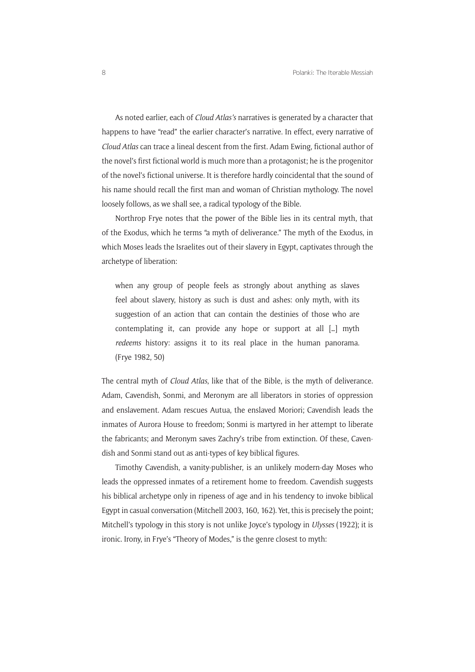As noted earlier, each of *Cloud Atlas's* narratives is generated by a character that happens to have "read" the earlier character's narrative. In effect, every narrative of *Cloud Atlas* can trace a lineal descent from the first. Adam Ewing, fictional author of the novel's first fictional world is much more than a protagonist; he is the progenitor of the novel's fictional universe. It is therefore hardly coincidental that the sound of his name should recall the first man and woman of Christian mythology. The novel loosely follows, as we shall see, a radical typology of the Bible.

Northrop Frye notes that the power of the Bible lies in its central myth, that of the Exodus, which he terms "a myth of deliverance." The myth of the Exodus, in which Moses leads the Israelites out of their slavery in Egypt, captivates through the archetype of liberation:

when any group of people feels as strongly about anything as slaves feel about slavery, history as such is dust and ashes: only myth, with its suggestion of an action that can contain the destinies of those who are contemplating it, can provide any hope or support at all […] myth *redeems* history: assigns it to its real place in the human panorama. (Frye 1982, 50)

The central myth of *Cloud Atlas*, like that of the Bible, is the myth of deliverance. Adam, Cavendish, Sonmi, and Meronym are all liberators in stories of oppression and enslavement. Adam rescues Autua, the enslaved Moriori; Cavendish leads the inmates of Aurora House to freedom; Sonmi is martyred in her attempt to liberate the fabricants; and Meronym saves Zachry's tribe from extinction. Of these, Cavendish and Sonmi stand out as anti-types of key biblical figures.

Timothy Cavendish, a vanity-publisher, is an unlikely modern-day Moses who leads the oppressed inmates of a retirement home to freedom. Cavendish suggests his biblical archetype only in ripeness of age and in his tendency to invoke biblical Egypt in casual conversation (Mitchell 2003, 160, 162). Yet, this is precisely the point; Mitchell's typology in this story is not unlike Joyce's typology in *Ulysses* (1922); it is ironic. Irony, in Frye's "Theory of Modes," is the genre closest to myth: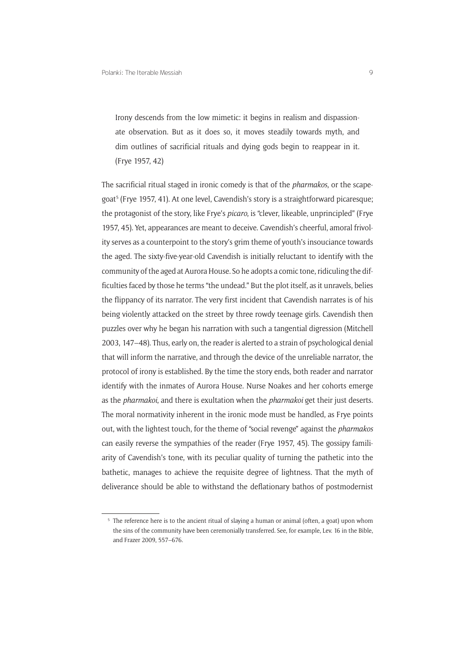Irony descends from the low mimetic: it begins in realism and dispassionate observation. But as it does so, it moves steadily towards myth, and dim outlines of sacrificial rituals and dying gods begin to reappear in it. (Frye 1957, 42)

The sacrificial ritual staged in ironic comedy is that of the *pharmakos*, or the scapegoat<sup>5</sup> (Frye 1957, 41). At one level, Cavendish's story is a straightforward picaresque; the protagonist of the story, like Frye's *picaro*, is "clever, likeable, unprincipled" (Frye 1957, 45). Yet, appearances are meant to deceive. Cavendish's cheerful, amoral frivolity serves as a counterpoint to the story's grim theme of youth's insouciance towards the aged. The sixty-five-year-old Cavendish is initially reluctant to identify with the community of the aged at Aurora House. So he adopts a comic tone, ridiculing the difficulties faced by those he terms "the undead." But the plot itself, as it unravels, belies the flippancy of its narrator. The very first incident that Cavendish narrates is of his being violently attacked on the street by three rowdy teenage girls. Cavendish then puzzles over why he began his narration with such a tangential digression (Mitchell 2003, 147–48). Thus, early on, the reader is alerted to a strain of psychological denial that will inform the narrative, and through the device of the unreliable narrator, the protocol of irony is established. By the time the story ends, both reader and narrator identify with the inmates of Aurora House. Nurse Noakes and her cohorts emerge as the *pharmakoi*, and there is exultation when the *pharmakoi* get their just deserts. The moral normativity inherent in the ironic mode must be handled, as Frye points out, with the lightest touch, for the theme of "social revenge" against the *pharmakos* can easily reverse the sympathies of the reader (Frye 1957, 45). The gossipy familiarity of Cavendish's tone, with its peculiar quality of turning the pathetic into the bathetic, manages to achieve the requisite degree of lightness. That the myth of deliverance should be able to withstand the deflationary bathos of postmodernist

<sup>&</sup>lt;sup>5</sup> The reference here is to the ancient ritual of slaying a human or animal (often, a goat) upon whom the sins of the community have been ceremonially transferred. See, for example, Lev. 16 in the Bible, and Frazer 2009, 557–676.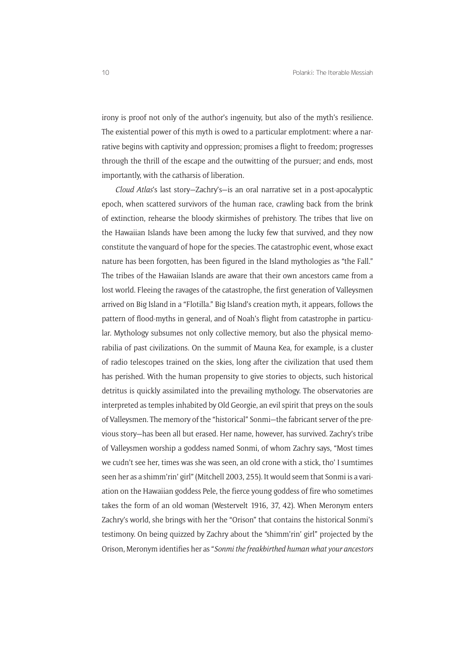irony is proof not only of the author's ingenuity, but also of the myth's resilience. The existential power of this myth is owed to a particular emplotment: where a narrative begins with captivity and oppression; promises a flight to freedom; progresses through the thrill of the escape and the outwitting of the pursuer; and ends, most importantly, with the catharsis of liberation.

*Cloud Atlas*'s last story—Zachry's—is an oral narrative set in a post-apocalyptic epoch, when scattered survivors of the human race, crawling back from the brink of extinction, rehearse the bloody skirmishes of prehistory. The tribes that live on the Hawaiian Islands have been among the lucky few that survived, and they now constitute the vanguard of hope for the species. The catastrophic event, whose exact nature has been forgotten, has been figured in the Island mythologies as "the Fall." The tribes of the Hawaiian Islands are aware that their own ancestors came from a lost world. Fleeing the ravages of the catastrophe, the first generation of Valleysmen arrived on Big Island in a "Flotilla." Big Island's creation myth, it appears, follows the pattern of flood-myths in general, and of Noah's flight from catastrophe in particular. Mythology subsumes not only collective memory, but also the physical memorabilia of past civilizations. On the summit of Mauna Kea, for example, is a cluster of radio telescopes trained on the skies, long after the civilization that used them has perished. With the human propensity to give stories to objects, such historical detritus is quickly assimilated into the prevailing mythology. The observatories are interpreted as temples inhabited by Old Georgie, an evil spirit that preys on the souls of Valleysmen. The memory of the "historical" Sonmi—the fabricant server of the previous story—has been all but erased. Her name, however, has survived. Zachry's tribe of Valleysmen worship a goddess named Sonmi, of whom Zachry says, "Most times we cudn't see her, times was she was seen, an old crone with a stick, tho' I sumtimes seen her as a shimm'rin' girl" (Mitchell 2003, 255). It would seem that Sonmi is a variation on the Hawaiian goddess Pele, the fierce young goddess of fire who sometimes takes the form of an old woman (Westervelt 1916, 37, 42). When Meronym enters Zachry's world, she brings with her the "Orison" that contains the historical Sonmi's testimony. On being quizzed by Zachry about the "shimm'rin' girl" projected by the Orison, Meronym identifies her as "*Sonmi the freakbirthed human what your ancestors*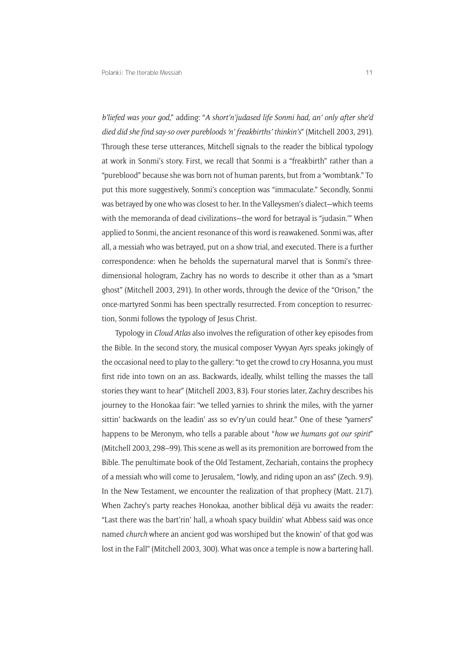*b'liefed was your god*," adding: "*A short'n'judased life Sonmi had, an' only after she'd died did she find say-so over purebloods 'n' freakbirths' thinkin's*" (Mitchell 2003, 291). Through these terse utterances, Mitchell signals to the reader the biblical typology at work in Sonmi's story. First, we recall that Sonmi is a "freakbirth" rather than a "pureblood" because she was born not of human parents, but from a "wombtank." To put this more suggestively, Sonmi's conception was "immaculate." Secondly, Sonmi was betrayed by one who was closest to her. In the Valleysmen's dialect—which teems with the memoranda of dead civilizations—the word for betraval is "judasin." When applied to Sonmi, the ancient resonance of this word is reawakened. Sonmi was, after all, a messiah who was betrayed, put on a show trial, and executed. There is a further correspondence: when he beholds the supernatural marvel that is Sonmi's threedimensional hologram, Zachry has no words to describe it other than as a "smart ghost" (Mitchell 2003, 291). In other words, through the device of the "Orison," the once-martyred Sonmi has been spectrally resurrected. From conception to resurrection, Sonmi follows the typology of Jesus Christ.

Typology in *Cloud Atlas* also involves the refiguration of other key episodes from the Bible. In the second story, the musical composer Vyvyan Ayrs speaks jokingly of the occasional need to play to the gallery: "to get the crowd to cry Hosanna, you must first ride into town on an ass. Backwards, ideally, whilst telling the masses the tall stories they want to hear" (Mitchell 2003, 83). Four stories later, Zachry describes his journey to the Honokaa fair: "we telled yarnies to shrink the miles, with the yarner sittin' backwards on the leadin' ass so ev'ry'un could hear." One of these "yarners" happens to be Meronym, who tells a parable about "*how we humans got our spirit*" (Mitchell 2003, 298–99). This scene as well as its premonition are borrowed from the Bible. The penultimate book of the Old Testament, Zechariah, contains the prophecy of a messiah who will come to Jerusalem, "lowly, and riding upon an ass" (Zech. 9.9). In the New Testament, we encounter the realization of that prophecy (Matt. 21.7). When Zachry's party reaches Honokaa, another biblical déjà vu awaits the reader: "Last there was the bart'rin' hall, a whoah spacy buildin' what Abbess said was once named *church* where an ancient god was worshiped but the knowin' of that god was lost in the Fall" (Mitchell 2003, 300). What was once a temple is now a bartering hall.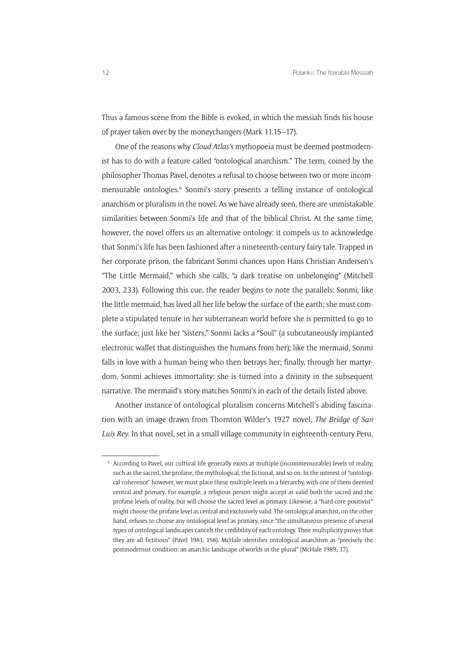Thus a famous scene from the Bible is evoked, in which the messiah finds his house of prayer taken over by the moneychangers (Mark 11.15–17).

One of the reasons why *Cloud Atlas's* mythopoeia must be deemed postmodernist has to do with a feature called "ontological anarchism." The term, coined by the philosopher Thomas Pavel, denotes a refusal to choose between two or more incommensurable ontologies.<sup>6</sup> Sonmi's story presents a telling instance of ontological anarchism or pluralism in the novel. As we have already seen, there are unmistakable similarities between Sonmi's life and that of the biblical Christ. At the same time, however, the novel offers us an alternative ontology: it compels us to acknowledge that Sonmi's life has been fashioned after a nineteenth-century fairy tale. Trapped in her corporate prison, the fabricant Sonmi chances upon Hans Christian Andersen's "The Little Mermaid," which she calls, "a dark treatise on unbelonging" (Mitchell 2003, 233). Following this cue, the reader begins to note the parallels: Sonmi, like the little mermaid, has lived all her life below the surface of the earth; she must complete a stipulated tenure in her subterranean world before she is permitted to go to the surface; just like her "sisters," Sonmi lacks a "Soul" (a subcutaneously implanted electronic wallet that distinguishes the humans from her); like the mermaid, Sonmi falls in love with a human being who then betrays her; finally, through her martyrdom, Sonmi achieves immortality: she is turned into a divinity in the subsequent narrative. The mermaid's story matches Sonmi's in each of the details listed above.

Another instance of ontological pluralism concerns Mitchell's abiding fascination with an image drawn from Thornton Wilder's 1927 novel, *The Bridge of San Luis Rey*. In that novel, set in a small village community in eighteenth-century Peru,

<sup>6</sup> According to Pavel, our cultural life generally exists at multiple (incommensurable) levels of reality, such as the sacred, the profane, the mythological, the fictional, and so on. In the interest of "ontological coherence" however, we must place these multiple levels in a hierarchy, with one of them deemed central and primary. For example, a religious person might accept as valid both the sacred and the profane levels of reality, but will choose the sacred level as primary. Likewise, a "hard-core positivist" might choose the profane level as central and exclusively valid. The ontological anarchist, on the other hand, refuses to choose any ontological level as primary, since "the simultaneous presence of several types of ontological landscapes cancels the credibility of each ontology. Their multiplicity proves that they are all fictitious" (Pavel 1981, 158). McHale identifies ontological anarchism as "precisely the postmodernist condition: an anarchic landscape of worlds in the plural" (McHale 1989, 37).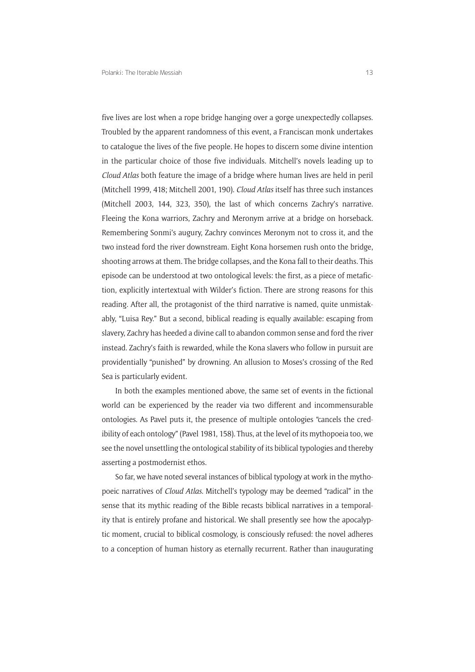five lives are lost when a rope bridge hanging over a gorge unexpectedly collapses. Troubled by the apparent randomness of this event, a Franciscan monk undertakes to catalogue the lives of the five people. He hopes to discern some divine intention in the particular choice of those five individuals. Mitchell's novels leading up to *Cloud Atlas* both feature the image of a bridge where human lives are held in peril (Mitchell 1999, 418; Mitchell 2001, 190). *Cloud Atlas* itself has three such instances (Mitchell 2003, 144, 323, 350), the last of which concerns Zachry's narrative. Fleeing the Kona warriors, Zachry and Meronym arrive at a bridge on horseback. Remembering Sonmi's augury, Zachry convinces Meronym not to cross it, and the two instead ford the river downstream. Eight Kona horsemen rush onto the bridge, shooting arrows at them. The bridge collapses, and the Kona fall to their deaths. This episode can be understood at two ontological levels: the first, as a piece of metafiction, explicitly intertextual with Wilder's fiction. There are strong reasons for this reading. After all, the protagonist of the third narrative is named, quite unmistakably, "Luisa Rey." But a second, biblical reading is equally available: escaping from slavery, Zachry has heeded a divine call to abandon common sense and ford the river instead. Zachry's faith is rewarded, while the Kona slavers who follow in pursuit are providentially "punished" by drowning. An allusion to Moses's crossing of the Red Sea is particularly evident.

In both the examples mentioned above, the same set of events in the fictional world can be experienced by the reader via two different and incommensurable ontologies. As Pavel puts it, the presence of multiple ontologies "cancels the credibility of each ontology" (Pavel 1981, 158). Thus, at the level of its mythopoeia too, we see the novel unsettling the ontological stability of its biblical typologies and thereby asserting a postmodernist ethos.

So far, we have noted several instances of biblical typology at work in the mythopoeic narratives of *Cloud Atlas*. Mitchell's typology may be deemed "radical" in the sense that its mythic reading of the Bible recasts biblical narratives in a temporality that is entirely profane and historical. We shall presently see how the apocalyptic moment, crucial to biblical cosmology, is consciously refused: the novel adheres to a conception of human history as eternally recurrent. Rather than inaugurating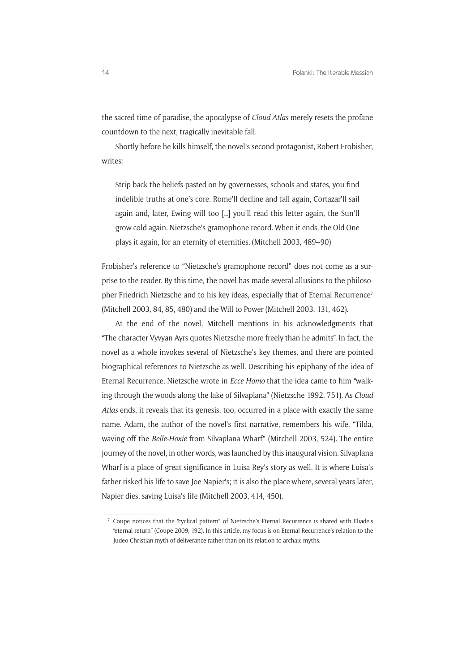the sacred time of paradise, the apocalypse of *Cloud Atlas* merely resets the profane countdown to the next, tragically inevitable fall.

Shortly before he kills himself, the novel's second protagonist, Robert Frobisher, writes:

Strip back the beliefs pasted on by governesses, schools and states, you find indelible truths at one's core. Rome'll decline and fall again, Cortazar'll sail again and, later, Ewing will too […] you'll read this letter again, the Sun'll grow cold again. Nietzsche's gramophone record. When it ends, the Old One plays it again, for an eternity of eternities. (Mitchell 2003, 489–90)

Frobisher's reference to "Nietzsche's gramophone record" does not come as a surprise to the reader. By this time, the novel has made several allusions to the philosopher Friedrich Nietzsche and to his key ideas, especially that of Eternal Recurrence<sup>7</sup> (Mitchell 2003, 84, 85, 480) and the Will to Power (Mitchell 2003, 131, 462).

At the end of the novel, Mitchell mentions in his acknowledgments that "The character Vyvyan Ayrs quotes Nietzsche more freely than he admits". In fact, the novel as a whole invokes several of Nietzsche's key themes, and there are pointed biographical references to Nietzsche as well. Describing his epiphany of the idea of Eternal Recurrence, Nietzsche wrote in *Ecce Homo* that the idea came to him "walking through the woods along the lake of Silvaplana" (Nietzsche 1992, 751). As *Cloud Atlas* ends, it reveals that its genesis, too, occurred in a place with exactly the same name. Adam, the author of the novel's first narrative, remembers his wife, "Tilda, waving off the *Belle-Hoxie* from Silvaplana Wharf" (Mitchell 2003, 524). The entire journey of the novel, in other words, was launched by this inaugural vision. Silvaplana Wharf is a place of great significance in Luisa Rey's story as well. It is where Luisa's father risked his life to save Joe Napier's; it is also the place where, several years later, Napier dies, saving Luisa's life (Mitchell 2003, 414, 450).

<sup>7</sup> Coupe notices that the "cyclical pattern" of Nietzsche's Eternal Recurrence is shared with Eliade's "eternal return" (Coupe 2009, 192). In this article, my focus is on Eternal Recurrence's relation to the Judeo-Christian myth of deliverance rather than on its relation to archaic myths.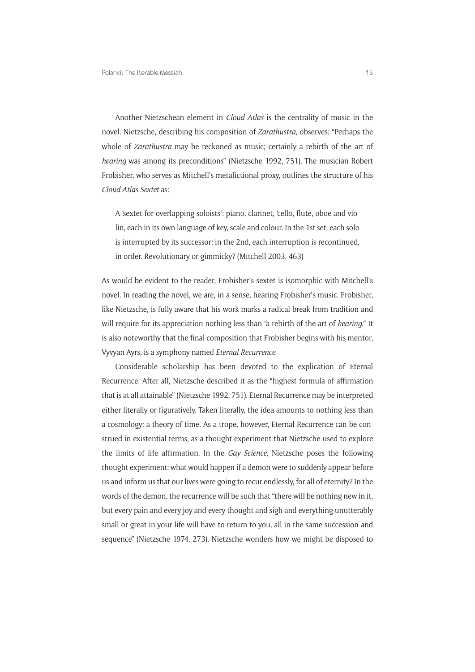Another Nietzschean element in *Cloud Atlas* is the centrality of music in the novel. Nietzsche, describing his composition of *Zarathustra*, observes: "Perhaps the whole of *Zarathustra* may be reckoned as music; certainly a rebirth of the art of *hearing* was among its preconditions" (Nietzsche 1992, 751). The musician Robert Frobisher, who serves as Mitchell's metafictional proxy, outlines the structure of his *Cloud Atlas Sextet* as:

A 'sextet for overlapping soloists': piano, clarinet, 'cello, flute, oboe and violin, each in its own language of key, scale and colour. In the 1st set, each solo is interrupted by its successor: in the 2nd, each interruption is recontinued, in order. Revolutionary or gimmicky? (Mitchell 2003, 463)

As would be evident to the reader, Frobisher's sextet is isomorphic with Mitchell's novel. In reading the novel, we are, in a sense, hearing Frobisher's music. Frobisher, like Nietzsche, is fully aware that his work marks a radical break from tradition and will require for its appreciation nothing less than "a rebirth of the art of *hearing*." It is also noteworthy that the final composition that Frobisher begins with his mentor, Vyvyan Ayrs, is a symphony named *Eternal Recurrence*.

Considerable scholarship has been devoted to the explication of Eternal Recurrence. After all, Nietzsche described it as the "highest formula of affirmation that is at all attainable" (Nietzsche 1992, 751). Eternal Recurrence may be interpreted either literally or figuratively. Taken literally, the idea amounts to nothing less than a cosmology: a theory of time. As a trope, however, Eternal Recurrence can be construed in existential terms, as a thought experiment that Nietzsche used to explore the limits of life affirmation. In the *Gay Science*, Nietzsche poses the following thought experiment: what would happen if a demon were to suddenly appear before us and inform us that our lives were going to recur endlessly, for all of eternity? In the words of the demon, the recurrence will be such that "there will be nothing new in it, but every pain and every joy and every thought and sigh and everything unutterably small or great in your life will have to return to you, all in the same succession and sequence" (Nietzsche 1974, 273). Nietzsche wonders how we might be disposed to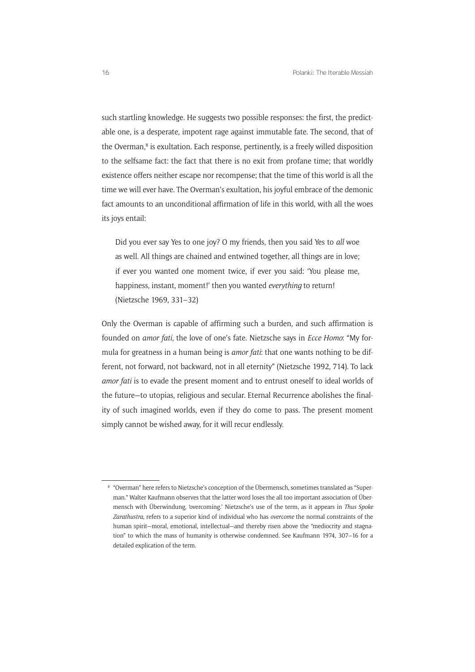such startling knowledge. He suggests two possible responses: the first, the predictable one, is a desperate, impotent rage against immutable fate. The second, that of the Overman,<sup>8</sup> is exultation. Each response, pertinently, is a freely willed disposition to the selfsame fact: the fact that there is no exit from profane time; that worldly existence offers neither escape nor recompense; that the time of this world is all the time we will ever have. The Overman's exultation, his joyful embrace of the demonic fact amounts to an unconditional affirmation of life in this world, with all the woes its joys entail:

Did you ever say Yes to one joy? O my friends, then you said Yes to *all* woe as well. All things are chained and entwined together, all things are in love; if ever you wanted one moment twice, if ever you said: 'You please me, happiness, instant, moment!' then you wanted *everything* to return! (Nietzsche 1969, 331–32)

Only the Overman is capable of affirming such a burden, and such affirmation is founded on *amor fati*, the love of one's fate. Nietzsche says in *Ecce Homo*: "My formula for greatness in a human being is *amor fati*: that one wants nothing to be different, not forward, not backward, not in all eternity" (Nietzsche 1992, 714). To lack *amor fati* is to evade the present moment and to entrust oneself to ideal worlds of the future—to utopias, religious and secular. Eternal Recurrence abolishes the finality of such imagined worlds, even if they do come to pass. The present moment simply cannot be wished away, for it will recur endlessly.

<sup>8</sup> "Overman" here refers to Nietzsche's conception of the Übermensch, sometimes translated as "Superman." Walter Kaufmann observes that the latter word loses the all too important association of Übermensch with Überwindung, 'overcoming.' Nietzsche's use of the term, as it appears in *Thus Spoke Zarathustra*, refers to a superior kind of individual who has *overcome* the normal constraints of the human spirit—moral, emotional, intellectual—and thereby risen above the "mediocrity and stagnation" to which the mass of humanity is otherwise condemned. See Kaufmann 1974, 307–16 for a detailed explication of the term.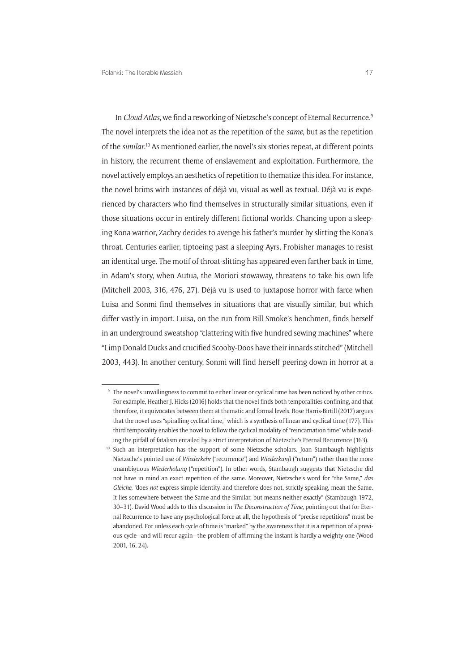In *Cloud Atlas*, we find a reworking of Nietzsche's concept of Eternal Recurrence.<sup>9</sup> The novel interprets the idea not as the repetition of the *same*, but as the repetition of the *similar*. <sup>10</sup> As mentioned earlier, the novel's six stories repeat, at different points in history, the recurrent theme of enslavement and exploitation. Furthermore, the novel actively employs an aesthetics of repetition to thematize this idea. For instance, the novel brims with instances of déjà vu, visual as well as textual. Déjà vu is experienced by characters who find themselves in structurally similar situations, even if those situations occur in entirely different fictional worlds. Chancing upon a sleeping Kona warrior, Zachry decides to avenge his father's murder by slitting the Kona's throat. Centuries earlier, tiptoeing past a sleeping Ayrs, Frobisher manages to resist an identical urge. The motif of throat-slitting has appeared even farther back in time, in Adam's story, when Autua, the Moriori stowaway, threatens to take his own life (Mitchell 2003, 316, 476, 27). Déjà vu is used to juxtapose horror with farce when Luisa and Sonmi find themselves in situations that are visually similar, but which differ vastly in import. Luisa, on the run from Bill Smoke's henchmen, finds herself in an underground sweatshop "clattering with five hundred sewing machines" where "Limp Donald Ducks and crucified Scooby-Doos have their innards stitched" (Mitchell 2003, 443). In another century, Sonmi will find herself peering down in horror at a

<sup>9</sup> The novel's unwillingness to commit to either linear or cyclical time has been noticed by other critics. For example, Heather J. Hicks (2016) holds that the novel finds both temporalities confining, and that therefore, it equivocates between them at thematic and formal levels. Rose Harris-Birtill (2017) argues that the novel uses "spiralling cyclical time," which is a synthesis of linear and cyclical time (177). This third temporality enables the novel to follow the cyclical modality of "reincarnation time" while avoiding the pitfall of fatalism entailed by a strict interpretation of Nietzsche's Eternal Recurrence (163).

<sup>10</sup> Such an interpretation has the support of some Nietzsche scholars. Joan Stambaugh highlights Nietzsche's pointed use of *Wiederkehr* ("recurrence") and *Wiederkunft* ("return") rather than the more unambiguous *Wiederholung* ("repetition"). In other words, Stambaugh suggests that Nietzsche did not have in mind an exact repetition of the same. Moreover, Nietzsche's word for "the Same," *das Gleiche*, "does *not* express simple identity, and therefore does not, strictly speaking, mean the Same. It lies somewhere between the Same and the Similar, but means neither exactly" (Stambaugh 1972, 30–31). David Wood adds to this discussion in *The Deconstruction of Time*, pointing out that for Eternal Recurrence to have any psychological force at all, the hypothesis of "precise repetitions" must be abandoned. For unless each cycle of time is "marked" by the awareness that it is a repetition of a previous cycle—and will recur again—the problem of affirming the instant is hardly a weighty one (Wood 2001, 16, 24).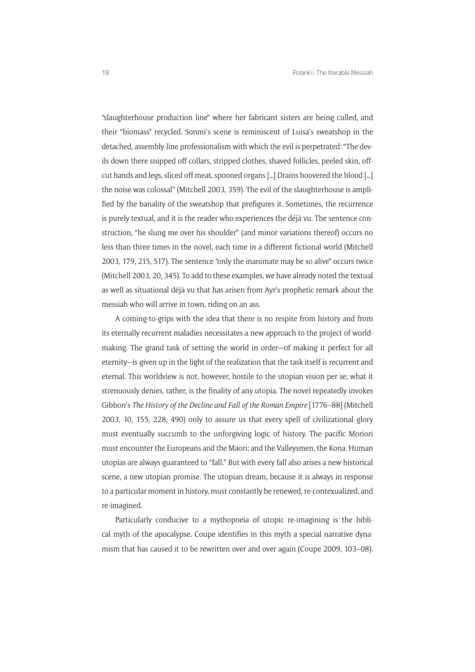"slaughterhouse production line" where her fabricant sisters are being culled, and their "biomass" recycled. Sonmi's scene is reminiscent of Luisa's sweatshop in the detached, assembly-line professionalism with which the evil is perpetrated: "The devils down there snipped off collars, stripped clothes, shaved follicles, peeled skin, offcut hands and legs, sliced off meat, spooned organs […] Drains hoovered the blood […] the noise was colossal" (Mitchell 2003, 359). The evil of the slaughterhouse is amplified by the banality of the sweatshop that prefigures it. Sometimes, the recurrence is purely textual, and it is the reader who experiences the déjà vu. The sentence construction, "he slung me over his shoulder" (and minor variations thereof) occurs no less than three times in the novel, each time in a different fictional world (Mitchell 2003, 179, 215, 517). The sentence "only the inanimate may be so alive" occurs twice (Mitchell 2003, 20, 345). To add to these examples, we have already noted the textual as well as situational déjà vu that has arisen from Ayr's prophetic remark about the messiah who will arrive in town, riding on an ass.

A coming-to-grips with the idea that there is no respite from history and from its eternally recurrent maladies necessitates a new approach to the project of worldmaking. The grand task of setting the world in order—of making it perfect for all eternity—is given up in the light of the realization that the task itself is recurrent and eternal. This worldview is not, however, hostile to the utopian vision per se; what it strenuously denies, rather, is the finality of any utopia. The novel repeatedly invokes Gibbon's *The History of the Decline and Fall of the Roman Empire* [1776–88] (Mitchell 2003, 10, 155, 228, 490) only to assure us that every spell of civilizational glory must eventually succumb to the unforgiving logic of history. The pacific Moriori must encounter the Europeans and the Maori; and the Valleysmen, the Kona. Human utopias are always guaranteed to "fall." But with every fall also arises a new historical scene, a new utopian promise. The utopian dream, because it is always in response to a particular moment in history, must constantly be renewed, re-contexualized, and re-imagined.

Particularly conducive to a mythopoeia of utopic re-imagining is the biblical myth of the apocalypse. Coupe identifies in this myth a special narrative dynamism that has caused it to be rewritten over and over again (Coupe 2009, 103–08).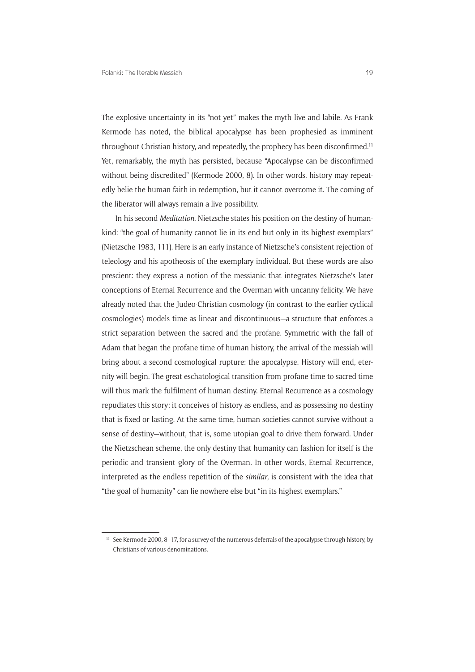The explosive uncertainty in its "not yet" makes the myth live and labile. As Frank Kermode has noted, the biblical apocalypse has been prophesied as imminent throughout Christian history, and repeatedly, the prophecy has been disconfirmed.<sup>11</sup> Yet, remarkably, the myth has persisted, because "Apocalypse can be disconfirmed without being discredited" (Kermode 2000, 8). In other words, history may repeatedly belie the human faith in redemption, but it cannot overcome it. The coming of the liberator will always remain a live possibility.

In his second *Meditation*, Nietzsche states his position on the destiny of humankind: "the goal of humanity cannot lie in its end but only in its highest exemplars" (Nietzsche 1983, 111). Here is an early instance of Nietzsche's consistent rejection of teleology and his apotheosis of the exemplary individual. But these words are also prescient: they express a notion of the messianic that integrates Nietzsche's later conceptions of Eternal Recurrence and the Overman with uncanny felicity. We have already noted that the Judeo-Christian cosmology (in contrast to the earlier cyclical cosmologies) models time as linear and discontinuous—a structure that enforces a strict separation between the sacred and the profane. Symmetric with the fall of Adam that began the profane time of human history, the arrival of the messiah will bring about a second cosmological rupture: the apocalypse. History will end, eternity will begin. The great eschatological transition from profane time to sacred time will thus mark the fulfilment of human destiny. Eternal Recurrence as a cosmology repudiates this story; it conceives of history as endless, and as possessing no destiny that is fixed or lasting. At the same time, human societies cannot survive without a sense of destiny—without, that is, some utopian goal to drive them forward. Under the Nietzschean scheme, the only destiny that humanity can fashion for itself is the periodic and transient glory of the Overman. In other words, Eternal Recurrence, interpreted as the endless repetition of the *similar*, is consistent with the idea that "the goal of humanity" can lie nowhere else but "in its highest exemplars."

 $11$  See Kermode 2000, 8–17, for a survey of the numerous deferrals of the apocalypse through history, by Christians of various denominations.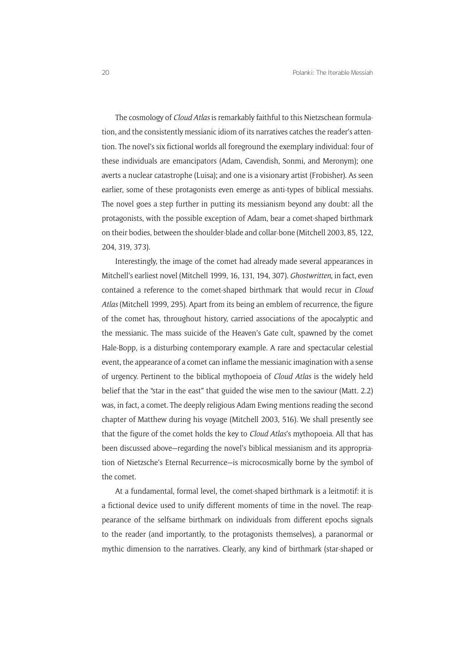The cosmology of *Cloud Atlas* is remarkably faithful to this Nietzschean formulation, and the consistently messianic idiom of its narratives catches the reader's attention. The novel's six fictional worlds all foreground the exemplary individual: four of these individuals are emancipators (Adam, Cavendish, Sonmi, and Meronym); one averts a nuclear catastrophe (Luisa); and one is a visionary artist (Frobisher). As seen earlier, some of these protagonists even emerge as anti-types of biblical messiahs. The novel goes a step further in putting its messianism beyond any doubt: all the protagonists, with the possible exception of Adam, bear a comet-shaped birthmark on their bodies, between the shoulder-blade and collar-bone (Mitchell 2003, 85, 122, 204, 319, 373).

Interestingly, the image of the comet had already made several appearances in Mitchell's earliest novel (Mitchell 1999, 16, 131, 194, 307). *Ghostwritten*, in fact, even contained a reference to the comet-shaped birthmark that would recur in *Cloud Atlas* (Mitchell 1999, 295). Apart from its being an emblem of recurrence, the figure of the comet has, throughout history, carried associations of the apocalyptic and the messianic. The mass suicide of the Heaven's Gate cult, spawned by the comet Hale-Bopp, is a disturbing contemporary example. A rare and spectacular celestial event, the appearance of a comet can inflame the messianic imagination with a sense of urgency. Pertinent to the biblical mythopoeia of *Cloud Atlas* is the widely held belief that the "star in the east" that guided the wise men to the saviour (Matt. 2.2) was, in fact, a comet. The deeply religious Adam Ewing mentions reading the second chapter of Matthew during his voyage (Mitchell 2003, 516). We shall presently see that the figure of the comet holds the key to *Cloud Atlas*'s mythopoeia. All that has been discussed above—regarding the novel's biblical messianism and its appropriation of Nietzsche's Eternal Recurrence—is microcosmically borne by the symbol of the comet.

At a fundamental, formal level, the comet-shaped birthmark is a leitmotif: it is a fictional device used to unify different moments of time in the novel. The reappearance of the selfsame birthmark on individuals from different epochs signals to the reader (and importantly, to the protagonists themselves), a paranormal or mythic dimension to the narratives. Clearly, any kind of birthmark (star-shaped or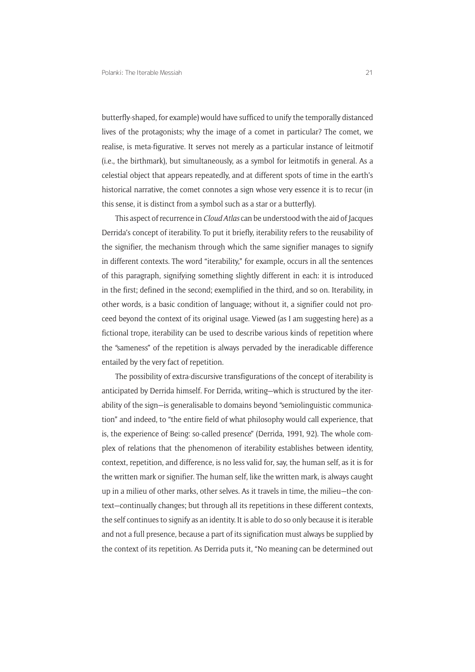butterfly-shaped, for example) would have sufficed to unify the temporally distanced lives of the protagonists; why the image of a comet in particular? The comet, we realise, is meta-figurative. It serves not merely as a particular instance of leitmotif (i.e., the birthmark), but simultaneously, as a symbol for leitmotifs in general. As a celestial object that appears repeatedly, and at different spots of time in the earth's historical narrative, the comet connotes a sign whose very essence it is to recur (in this sense, it is distinct from a symbol such as a star or a butterfly).

This aspect of recurrence in *Cloud Atlas* can be understood with the aid of Jacques Derrida's concept of iterability. To put it briefly, iterability refers to the reusability of the signifier, the mechanism through which the same signifier manages to signify in different contexts. The word "iterability," for example, occurs in all the sentences of this paragraph, signifying something slightly different in each: it is introduced in the first; defined in the second; exemplified in the third, and so on. Iterability, in other words, is a basic condition of language; without it, a signifier could not proceed beyond the context of its original usage. Viewed (as I am suggesting here) as a fictional trope, iterability can be used to describe various kinds of repetition where the "sameness" of the repetition is always pervaded by the ineradicable difference entailed by the very fact of repetition.

The possibility of extra-discursive transfigurations of the concept of iterability is anticipated by Derrida himself. For Derrida, writing—which is structured by the iterability of the sign—is generalisable to domains beyond "semiolinguistic communication" and indeed, to "the entire field of what philosophy would call experience, that is, the experience of Being: so-called presence" (Derrida, 1991, 92). The whole complex of relations that the phenomenon of iterability establishes between identity, context, repetition, and difference, is no less valid for, say, the human self, as it is for the written mark or signifier. The human self, like the written mark, is always caught up in a milieu of other marks, other selves. As it travels in time, the milieu—the context—continually changes; but through all its repetitions in these different contexts, the self continues to signify as an identity. It is able to do so only because it is iterable and not a full presence, because a part of its signification must always be supplied by the context of its repetition. As Derrida puts it, "No meaning can be determined out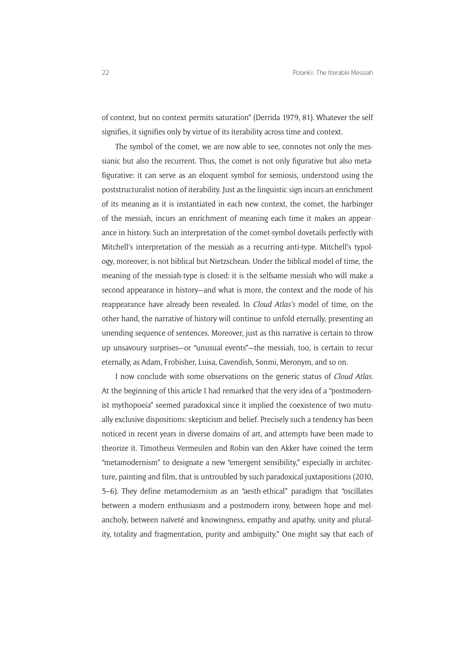of context, but no context permits saturation" (Derrida 1979, 81). Whatever the self signifies, it signifies only by virtue of its iterability across time and context.

The symbol of the comet, we are now able to see, connotes not only the messianic but also the recurrent. Thus, the comet is not only figurative but also metafigurative: it can serve as an eloquent symbol for semiosis, understood using the poststructuralist notion of iterability. Just as the linguistic sign incurs an enrichment of its meaning as it is instantiated in each new context, the comet, the harbinger of the messiah, incurs an enrichment of meaning each time it makes an appearance in history. Such an interpretation of the comet-symbol dovetails perfectly with Mitchell's interpretation of the messiah as a recurring anti-type. Mitchell's typology, moreover, is not biblical but Nietzschean. Under the biblical model of time, the meaning of the messiah-type is closed: it is the selfsame messiah who will make a second appearance in history—and what is more, the context and the mode of his reappearance have already been revealed. In *Cloud Atlas's* model of time, on the other hand, the narrative of history will continue to unfold eternally, presenting an unending sequence of sentences. Moreover, just as this narrative is certain to throw up unsavoury surprises—or "unusual events"—the messiah, too, is certain to recur eternally, as Adam, Frobisher, Luisa, Cavendish, Sonmi, Meronym, and so on.

I now conclude with some observations on the generic status of *Cloud Atlas*. At the beginning of this article I had remarked that the very idea of a "postmodernist mythopoeia" seemed paradoxical since it implied the coexistence of two mutually exclusive dispositions: skepticism and belief. Precisely such a tendency has been noticed in recent years in diverse domains of art, and attempts have been made to theorize it. Timotheus Vermeulen and Robin van den Akker have coined the term "metamodernism" to designate a new "emergent sensibility," especially in architecture, painting and film, that is untroubled by such paradoxical juxtapositions (2010, 5–6). They define metamodernism as an "aesth-ethical" paradigm that "oscillates between a modern enthusiasm and a postmodern irony, between hope and melancholy, between naïveté and knowingness, empathy and apathy, unity and plurality, totality and fragmentation, purity and ambiguity." One might say that each of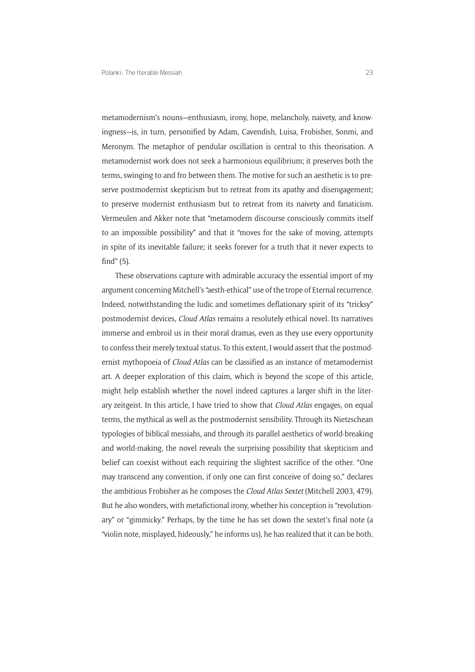metamodernism's nouns—enthusiasm, irony, hope, melancholy, naivety, and knowingness—is, in turn, personified by Adam, Cavendish, Luisa, Frobisher, Sonmi, and Meronym. The metaphor of pendular oscillation is central to this theorisation. A metamodernist work does not seek a harmonious equilibrium; it preserves both the terms, swinging to and fro between them. The motive for such an aesthetic is to preserve postmodernist skepticism but to retreat from its apathy and disengagement; to preserve modernist enthusiasm but to retreat from its naivety and fanaticism. Vermeulen and Akker note that "metamodern discourse consciously commits itself to an impossible possibility" and that it "moves for the sake of moving, attempts in spite of its inevitable failure; it seeks forever for a truth that it never expects to find" (5).

These observations capture with admirable accuracy the essential import of my argument concerning Mitchell's "aesth-ethical" use of the trope of Eternal recurrence. Indeed, notwithstanding the ludic and sometimes deflationary spirit of its "tricksy" postmodernist devices, *Cloud Atlas* remains a resolutely ethical novel. Its narratives immerse and embroil us in their moral dramas, even as they use every opportunity to confess their merely textual status. To this extent, I would assert that the postmodernist mythopoeia of *Cloud Atlas* can be classified as an instance of metamodernist art. A deeper exploration of this claim, which is beyond the scope of this article, might help establish whether the novel indeed captures a larger shift in the literary zeitgeist. In this article, I have tried to show that *Cloud Atlas* engages, on equal terms, the mythical as well as the postmodernist sensibility. Through its Nietzschean typologies of biblical messiahs, and through its parallel aesthetics of world-breaking and world-making, the novel reveals the surprising possibility that skepticism and belief can coexist without each requiring the slightest sacrifice of the other. "One may transcend any convention, if only one can first conceive of doing so," declares the ambitious Frobisher as he composes the *Cloud Atlas Sextet* (Mitchell 2003, 479). But he also wonders, with metafictional irony, whether his conception is "revolutionary" or "gimmicky." Perhaps, by the time he has set down the sextet's final note (a "violin note, misplayed, hideously," he informs us), he has realized that it can be both.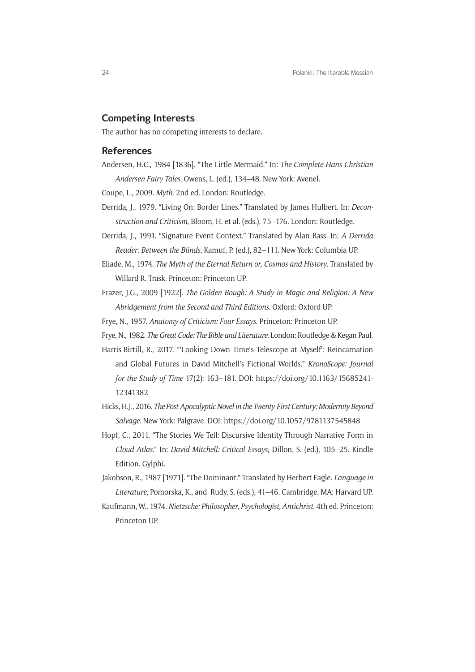#### **Competing Interests**

The author has no competing interests to declare.

#### **References**

Andersen, H.C., 1984 [1836]. "The Little Mermaid." In: *The Complete Hans Christian Andersen Fairy Tales*, Owens, L. (ed.), 134–48. New York: Avenel.

Coupe, L., 2009. *Myth*. 2nd ed. London: Routledge.

- Derrida, J., 1979. "Living On: Border Lines." Translated by James Hulbert. In: *Deconstruction and Criticism*, Bloom, H. et al. (eds.), 75–176. London: Routledge.
- Derrida, J., 1991. "Signature Event Context." Translated by Alan Bass. In: *A Derrida Reader: Between the Blinds*, Kamuf, P. (ed.), 82–111. New York: Columbia UP.
- Eliade, M., 1974. *The Myth of the Eternal Return or, Cosmos and History*. Translated by Willard R. Trask. Princeton: Princeton UP.
- Frazer, J.G., 2009 [1922]. *The Golden Bough: A Study in Magic and Religion: A New Abridgement from the Second and Third Editions*. Oxford: Oxford UP.
- Frye, N., 1957. *Anatomy of Criticism: Four Essays*. Princeton: Princeton UP.
- Frye, N., 1982. *The Great Code: The Bible and Literature*. London: Routledge & Kegan Paul.
- Harris-Birtill, R., 2017. "'Looking Down Time's Telescope at Myself': Reincarnation and Global Futures in David Mitchell's Fictional Worlds." *KronoScope: Journal for the Study of Time* 17(2): 163–181. DOI: https://doi.org/10.1163/15685241- 12341382
- Hicks, H.J., 2016. *The Post-Apocalyptic Novel in the Twenty-First Century: Modernity Beyond Salvage*. New York: Palgrave. DOI: https://doi.org/10.1057/9781137545848
- Hopf, C., 2011. "The Stories We Tell: Discursive Identity Through Narrative Form in *Cloud Atlas*." In: *David Mitchell: Critical Essays*, Dillon, S. (ed.), 105–25. Kindle Edition. Gylphi.
- Jakobson, R., 1987 [1971]. "The Dominant." Translated by Herbert Eagle. *Language in Literature*, Pomorska, K., and Rudy, S. (eds.), 41–46. Cambridge, MA: Harvard UP.
- Kaufmann, W., 1974. *Nietzsche: Philosopher, Psychologist, Antichrist*. 4th ed. Princeton: Princeton UP.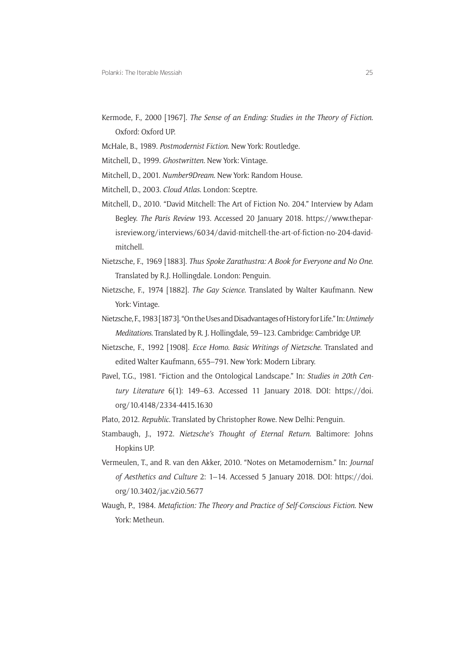- Kermode, F., 2000 [1967]. *The Sense of an Ending: Studies in the Theory of Fiction*. Oxford: Oxford UP.
- McHale, B., 1989. *Postmodernist Fiction*. New York: Routledge.
- Mitchell, D., 1999. *Ghostwritten*. New York: Vintage.
- Mitchell, D., 2001. *Number9Dream*. New York: Random House.
- Mitchell, D., 2003. *Cloud Atlas*. London: Sceptre.
- Mitchell, D., 2010. "David Mitchell: The Art of Fiction No. 204." Interview by Adam Begley. *The Paris Review* 193. Accessed 20 January 2018. https://www.theparisreview.org/interviews/6034/david-mitchell-the-art-of-fiction-no-204-davidmitchell.
- Nietzsche, F., 1969 [1883]. *Thus Spoke Zarathustra: A Book for Everyone and No One*. Translated by R.J. Hollingdale. London: Penguin.
- Nietzsche, F., 1974 [1882]. *The Gay Science*. Translated by Walter Kaufmann. New York: Vintage.
- Nietzsche, F., 1983 [1873]. "On the Uses and Disadvantages of History for Life." In: *Untimely Meditations*. Translated by R. J. Hollingdale, 59–123. Cambridge: Cambridge UP.
- Nietzsche, F., 1992 [1908]. *Ecce Homo. Basic Writings of Nietzsche*. Translated and edited Walter Kaufmann, 655–791. New York: Modern Library.
- Pavel, T.G., 1981. "Fiction and the Ontological Landscape." In: *Studies in 20th Century Literature* 6(1): 149–63. Accessed 11 January 2018. DOI: https://doi. org/10.4148/2334-4415.1630
- Plato, 2012. *Republic*. Translated by Christopher Rowe. New Delhi: Penguin.
- Stambaugh, J., 1972. *Nietzsche's Thought of Eternal Return*. Baltimore: Johns Hopkins UP.
- Vermeulen, T., and R. van den Akker, 2010. "Notes on Metamodernism." In: *Journal of Aesthetics and Culture* 2: 1–14. Accessed 5 January 2018. DOI: https://doi. org/10.3402/jac.v2i0.5677
- Waugh, P., 1984. *Metafiction: The Theory and Practice of Self-Conscious Fiction*. New York: Metheun.